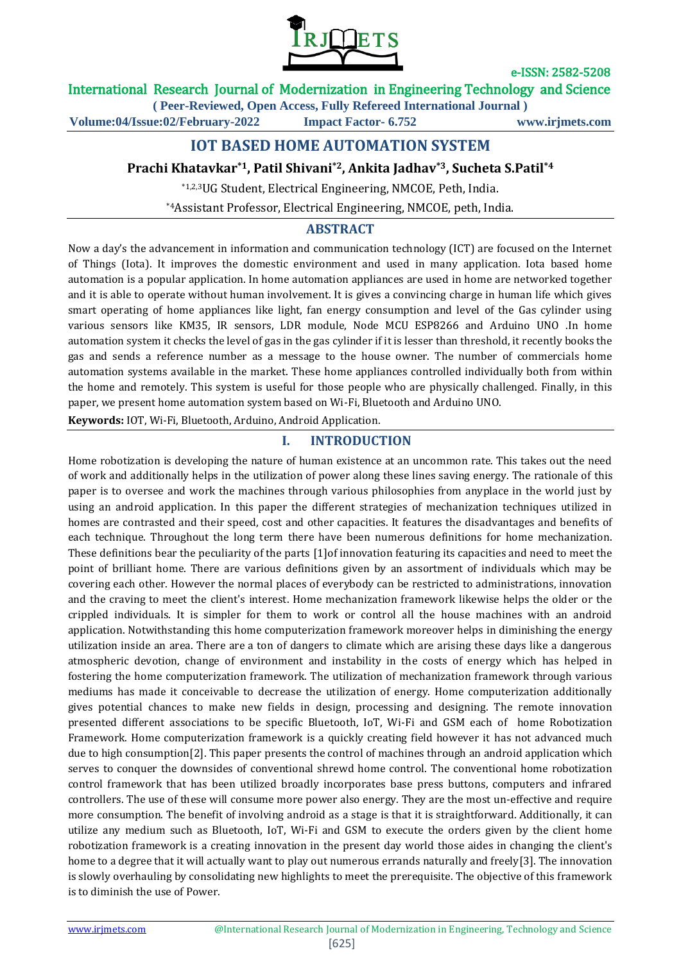

## International Research Journal of Modernization in Engineering Technology and Science

**( Peer-Reviewed, Open Access, Fully Refereed International Journal ) Volume:04/Issue:02/February-2022 Impact Factor- 6.752 www.irjmets.com**

# **IOT BASED HOME AUTOMATION SYSTEM**

### **Prachi Khatavkar\*1, Patil Shivani\*2, Ankita Jadhav\*3, Sucheta S.Patil\*4**

\*1,2,3UG Student, Electrical Engineering, NMCOE, Peth, India.

\*4Assistant Professor, Electrical Engineering, NMCOE, peth, India.

### **ABSTRACT**

Now a day's the advancement in information and communication technology (ICT) are focused on the Internet of Things (Iota). It improves the domestic environment and used in many application. Iota based home automation is a popular application. In home automation appliances are used in home are networked together and it is able to operate without human involvement. It is gives a convincing charge in human life which gives smart operating of home appliances like light, fan energy consumption and level of the Gas cylinder using various sensors like KM35, IR sensors, LDR module, Node MCU ESP8266 and Arduino UNO .In home automation system it checks the level of gas in the gas cylinder if it is lesser than threshold, it recently books the gas and sends a reference number as a message to the house owner. The number of commercials home automation systems available in the market. These home appliances controlled individually both from within the home and remotely. This system is useful for those people who are physically challenged. Finally, in this paper, we present home automation system based on Wi-Fi, Bluetooth and Arduino UNO.

**Keywords:** IOT, Wi-Fi, Bluetooth, Arduino, Android Application.

### **I. INTRODUCTION**

Home robotization is developing the nature of human existence at an uncommon rate. This takes out the need of work and additionally helps in the utilization of power along these lines saving energy. The rationale of this paper is to oversee and work the machines through various philosophies from anyplace in the world just by using an android application. In this paper the different strategies of mechanization techniques utilized in homes are contrasted and their speed, cost and other capacities. It features the disadvantages and benefits of each technique. Throughout the long term there have been numerous definitions for home mechanization. These definitions bear the peculiarity of the parts [1]of innovation featuring its capacities and need to meet the point of brilliant home. There are various definitions given by an assortment of individuals which may be covering each other. However the normal places of everybody can be restricted to administrations, innovation and the craving to meet the client's interest. Home mechanization framework likewise helps the older or the crippled individuals. It is simpler for them to work or control all the house machines with an android application. Notwithstanding this home computerization framework moreover helps in diminishing the energy utilization inside an area. There are a ton of dangers to climate which are arising these days like a dangerous atmospheric devotion, change of environment and instability in the costs of energy which has helped in fostering the home computerization framework. The utilization of mechanization framework through various mediums has made it conceivable to decrease the utilization of energy. Home computerization additionally gives potential chances to make new fields in design, processing and designing. The remote innovation presented different associations to be specific Bluetooth, IoT, Wi-Fi and GSM each of home Robotization Framework. Home computerization framework is a quickly creating field however it has not advanced much due to high consumption[2]. This paper presents the control of machines through an android application which serves to conquer the downsides of conventional shrewd home control. The conventional home robotization control framework that has been utilized broadly incorporates base press buttons, computers and infrared controllers. The use of these will consume more power also energy. They are the most un-effective and require more consumption. The benefit of involving android as a stage is that it is straightforward. Additionally, it can utilize any medium such as Bluetooth, IoT, Wi-Fi and GSM to execute the orders given by the client home robotization framework is a creating innovation in the present day world those aides in changing the client's home to a degree that it will actually want to play out numerous errands naturally and freely[3]. The innovation is slowly overhauling by consolidating new highlights to meet the prerequisite. The objective of this framework is to diminish the use of Power.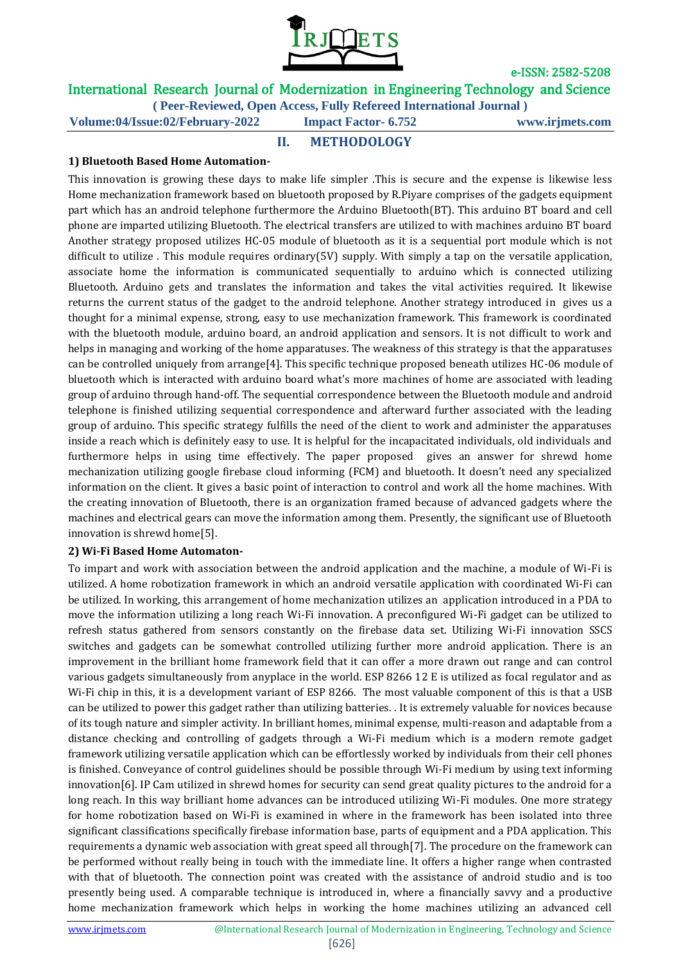

# International Research Journal of Modernization in Engineering Technology and Science

**( Peer-Reviewed, Open Access, Fully Refereed International Journal )**

**Volume:04/Issue:02/February-2022 Impact Factor- 6.752 www.irjmets.com**

### **II. METHODOLOGY**

#### **1) Bluetooth Based Home Automation-**

This innovation is growing these days to make life simpler .This is secure and the expense is likewise less Home mechanization framework based on bluetooth proposed by R.Piyare comprises of the gadgets equipment part which has an android telephone furthermore the Arduino Bluetooth(BT). This arduino BT board and cell phone are imparted utilizing Bluetooth. The electrical transfers are utilized to with machines arduino BT board Another strategy proposed utilizes HC-05 module of bluetooth as it is a sequential port module which is not difficult to utilize. This module requires ordinary(5V) supply. With simply a tap on the versatile application, associate home the information is communicated sequentially to arduino which is connected utilizing Bluetooth. Arduino gets and translates the information and takes the vital activities required. It likewise returns the current status of the gadget to the android telephone. Another strategy introduced in gives us a thought for a minimal expense, strong, easy to use mechanization framework. This framework is coordinated with the bluetooth module, arduino board, an android application and sensors. It is not difficult to work and helps in managing and working of the home apparatuses. The weakness of this strategy is that the apparatuses can be controlled uniquely from arrange[4]. This specific technique proposed beneath utilizes HC-06 module of bluetooth which is interacted with arduino board what's more machines of home are associated with leading group of arduino through hand-off. The sequential correspondence between the Bluetooth module and android telephone is finished utilizing sequential correspondence and afterward further associated with the leading group of arduino. This specific strategy fulfills the need of the client to work and administer the apparatuses inside a reach which is definitely easy to use. It is helpful for the incapacitated individuals, old individuals and furthermore helps in using time effectively. The paper proposed gives an answer for shrewd home mechanization utilizing google firebase cloud informing (FCM) and bluetooth. It doesn't need any specialized information on the client. It gives a basic point of interaction to control and work all the home machines. With the creating innovation of Bluetooth, there is an organization framed because of advanced gadgets where the machines and electrical gears can move the information among them. Presently, the significant use of Bluetooth innovation is shrewd home[5].

#### **2) Wi-Fi Based Home Automaton-**

To impart and work with association between the android application and the machine, a module of Wi-Fi is utilized. A home robotization framework in which an android versatile application with coordinated Wi-Fi can be utilized. In working, this arrangement of home mechanization utilizes an application introduced in a PDA to move the information utilizing a long reach Wi-Fi innovation. A preconfigured Wi-Fi gadget can be utilized to refresh status gathered from sensors constantly on the firebase data set. Utilizing Wi-Fi innovation SSCS switches and gadgets can be somewhat controlled utilizing further more android application. There is an improvement in the brilliant home framework field that it can offer a more drawn out range and can control various gadgets simultaneously from anyplace in the world. ESP 8266 12 E is utilized as focal regulator and as Wi-Fi chip in this, it is a development variant of ESP 8266. The most valuable component of this is that a USB can be utilized to power this gadget rather than utilizing batteries. . It is extremely valuable for novices because of its tough nature and simpler activity. In brilliant homes, minimal expense, multi-reason and adaptable from a distance checking and controlling of gadgets through a Wi-Fi medium which is a modern remote gadget framework utilizing versatile application which can be effortlessly worked by individuals from their cell phones is finished. Conveyance of control guidelines should be possible through Wi-Fi medium by using text informing innovation[6]. IP Cam utilized in shrewd homes for security can send great quality pictures to the android for a long reach. In this way brilliant home advances can be introduced utilizing Wi-Fi modules. One more strategy for home robotization based on Wi-Fi is examined in where in the framework has been isolated into three significant classifications specifically firebase information base, parts of equipment and a PDA application. This requirements a dynamic web association with great speed all through[7]. The procedure on the framework can be performed without really being in touch with the immediate line. It offers a higher range when contrasted with that of bluetooth. The connection point was created with the assistance of android studio and is too presently being used. A comparable technique is introduced in, where a financially savvy and a productive home mechanization framework which helps in working the home machines utilizing an advanced cell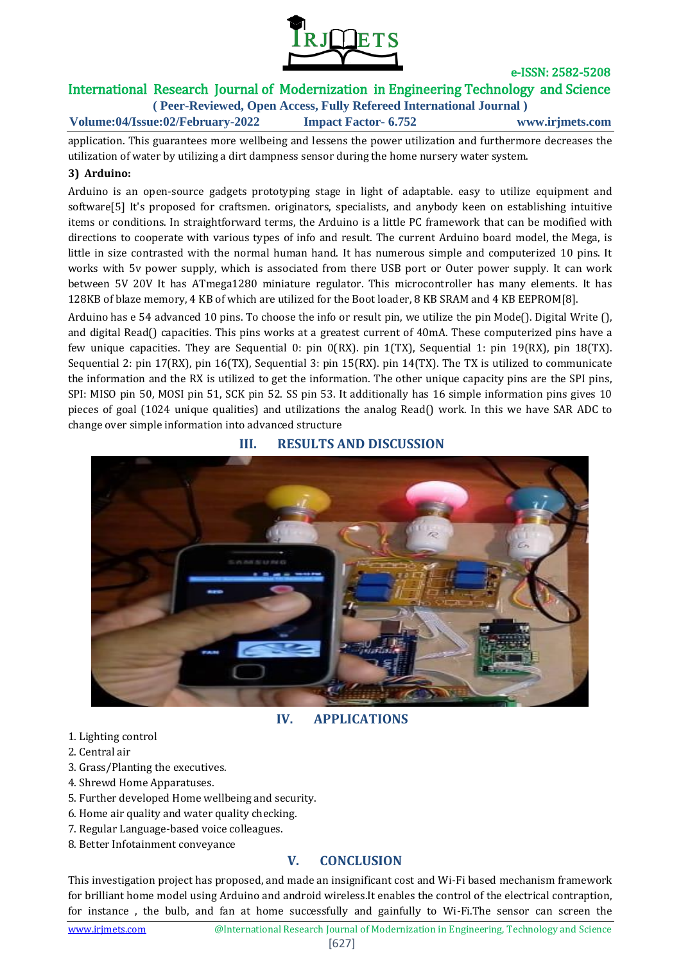

# International Research Journal of Modernization in Engineering Technology and Science

**( Peer-Reviewed, Open Access, Fully Refereed International Journal ) Volume:04/Issue:02/February-2022 Impact Factor- 6.752 www.irjmets.com**

application. This guarantees more wellbeing and lessens the power utilization and furthermore decreases the utilization of water by utilizing a dirt dampness sensor during the home nursery water system.

#### **3) Arduino:**

Arduino is an open-source gadgets prototyping stage in light of adaptable. easy to utilize equipment and software[5] It's proposed for craftsmen. originators, specialists, and anybody keen on establishing intuitive items or conditions. In straightforward terms, the Arduino is a little PC framework that can be modified with directions to cooperate with various types of info and result. The current Arduino board model, the Mega, is little in size contrasted with the normal human hand. It has numerous simple and computerized 10 pins. It works with 5v power supply, which is associated from there USB port or Outer power supply. It can work between 5V 20V It has ATmega1280 miniature regulator. This microcontroller has many elements. It has 128KB of blaze memory, 4 KB of which are utilized for the Boot loader, 8 KB SRAM and 4 KB EEPROM[8].

Arduino has e 54 advanced 10 pins. To choose the info or result pin, we utilize the pin Mode(). Digital Write (), and digital Read() capacities. This pins works at a greatest current of 40mA. These computerized pins have a few unique capacities. They are Sequential 0: pin 0(RX). pin 1(TX), Sequential 1: pin 19(RX), pin 18(TX). Sequential 2: pin 17(RX), pin 16(TX), Sequential 3: pin 15(RX). pin 14(TX). The TX is utilized to communicate the information and the RX is utilized to get the information. The other unique capacity pins are the SPI pins, SPI: MISO pin 50, MOSI pin 51, SCK pin 52. SS pin 53. It additionally has 16 simple information pins gives 10 pieces of goal (1024 unique qualities) and utilizations the analog Read() work. In this we have SAR ADC to change over simple information into advanced structure

### **III. RESULTS AND DISCUSSION**



**IV. APPLICATIONS**

- 1. Lighting control
- 2. Central air
- 3. Grass/Planting the executives.
- 4. Shrewd Home Apparatuses.
- 5. Further developed Home wellbeing and security.
- 6. Home air quality and water quality checking.
- 7. Regular Language-based voice colleagues.
- 8. Better Infotainment conveyance

# **V. CONCLUSION**

This investigation project has proposed, and made an insignificant cost and Wi-Fi based mechanism framework for brilliant home model using Arduino and android wireless.It enables the control of the electrical contraption, for instance , the bulb, and fan at home successfully and gainfully to Wi-Fi.The sensor can screen the